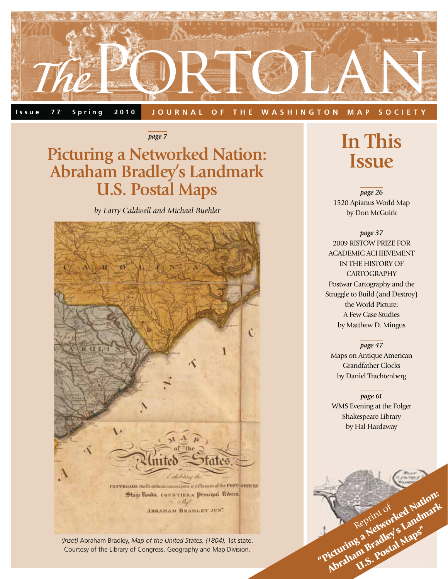

#### **Issue 77 Spring 2010 JOURNAL OF THE WASHINGTON MAP SOCIETY**

*page 7*

### **Picturing a Networked Nation: Abraham Bradley's Landmark U.S. Postal Maps**

*by Larry Caldwell and Michael Buehler*



*(Inset)* Abraham Bradley, *Map of the United States, (1804),* 1st state. Courtesy of the Library of Congress, Geography and Map Division.

### **In This Issue**

*page 26* 1520 Apianus World Map by Don McGuirk

*page 37* 2009 RISTOW PRIZE FOR ACADEMIC ACHIEVEMENT IN THE HISTORY OF **CARTOGRAPHY** Postwar Cartography and the Struggle to Build (and Destroy) the World Picture: A Few Case Studies by Matthew D. Mingus

#### *page 47*

Maps on Antique American Grandfather Clocks by Daniel Trachtenberg

#### *page 61*

WMS Evening at the Folger Shakespeare Library by Hal Hardaway

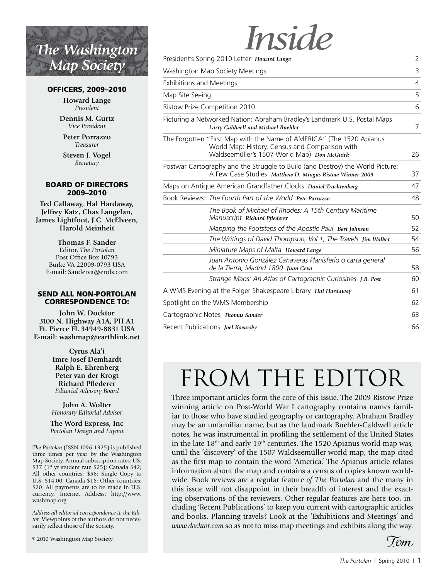## *The Washington Map Society*

#### **OFFICERS, 2009–2010**

**Howard Lange** *President*

**Dennis M. Gurtz** *Vice President*

**Peter Porrazzo** *Treasurer*

**Steven J. Vogel** *Secretary*

#### **BOARD OF DIRECTORS 2009–2010**

**Ted Callaway, Hal Hardaway, Jeffrey Katz, Chas Langelan, James Lightfoot, J.C. McElveen, Harold Meinheit**

> **Thomas F. Sander** Editor, *The Portolan* Post Office Box 10793 Burke VA 22009-0793 USA E-mail: Sanderva@erols.com

#### **SEND ALL NON-PORTOLAN CORRESPONDENCE TO:**

**John W. Docktor 3100 N. Highway A1A, PH A1 Ft. Pierce FL 34949-8831 USA E-mail: washmap@earthlink.net**

> **Cyrus Ala'i Imre Josef Demhardt Ralph E. Ehrenberg Peter van der Krogt Richard Pflederer** *Editorial Advisory Board*

**John A. Wolter** *Honorary Editorial Advisor*

**The Word Express, Inc** *Portolan Design and Layout*

*The Portolan* (ISSN 1096-1925) is published three times per year by the Washington Map Society. Annual subscription rates: US: \$37 (1<sup>st</sup> yr student rate \$25); Canada \$42; All other countries: \$56; Single Copy to U.S: \$14.00; Canada \$16; Other countries: \$20. All payments are to be made in U.S. currency. Internet Address: http://www. washmap.org

*Address all editorial correspondence to the Editor.* Viewpoints of the authors do not necessarily reflect those of the Society.

© 2010 Washington Map Society.

# *Inside*

|                                 | President's Spring 2010 Letter Howard Lange                                                                                                                           | 2  |
|---------------------------------|-----------------------------------------------------------------------------------------------------------------------------------------------------------------------|----|
|                                 | Washington Map Society Meetings                                                                                                                                       | 3  |
| <b>Exhibitions and Meetings</b> |                                                                                                                                                                       | 4  |
| Map Site Seeing                 |                                                                                                                                                                       | 5  |
|                                 | Ristow Prize Competition 2010                                                                                                                                         | 6  |
|                                 | Picturing a Networked Nation: Abraham Bradley's Landmark U.S. Postal Maps<br>Larry Caldwell and Michael Buehler                                                       | 7  |
|                                 | The Forgotten "First Map with the Name of AMERICA" (The 1520 Apianus<br>World Map: History, Census and Comparison with<br>Waldseemüller's 1507 World Map) Don McGuirk | 26 |
|                                 | Postwar Cartography and the Struggle to Build (and Destroy) the World Picture:<br>A Few Case Studies Matthew D. Mingus Ristow Winner 2009                             | 37 |
|                                 | Maps on Antique American Grandfather Clocks Daniel Trachtenberg                                                                                                       | 47 |
|                                 | Book Reviews: The Fourth Part of the World Pete Porrazzo                                                                                                              | 48 |
|                                 | The Book of Michael of Rhodes: A 15th Century Maritime<br>Manuscript Richard Pflederer                                                                                | 50 |
|                                 | Mapping the Footsteps of the Apostle Paul Bert Johnson                                                                                                                | 52 |
|                                 | The Writings of David Thompson, Vol 1, The Travels Jim Walker                                                                                                         | 54 |
|                                 | Miniature Maps of Malta Howard Lange                                                                                                                                  | 56 |
|                                 | Juan Antonio González Cañaveras Planisferio o carta general<br>de la Tierra, Madrid 1800 Juan Ceva                                                                    | 58 |
|                                 | Strange Maps: An Atlas of Cartographic Curiosities J.B. Post                                                                                                          | 60 |
|                                 | A WMS Evening at the Folger Shakespeare Library Hal Hardaway                                                                                                          | 61 |
|                                 | Spotlight on the WMS Membership                                                                                                                                       | 62 |
|                                 | Cartographic Notes Thomas Sander                                                                                                                                      | 63 |
|                                 | Recent Publications Joel Kovarsky                                                                                                                                     | 66 |

# FROM THE EDITOR

Three important articles form the core of this issue. The 2009 Ristow Prize winning article on Post-World War I cartography contains names familiar to those who have studied geography or cartography. Abraham Bradley may be an unfamiliar name, but as the landmark Buehler-Caldwell article notes, he was instrumental in profiling the settlement of the United States in the late  $18<sup>th</sup>$  and early  $19<sup>th</sup>$  centuries. The 1520 Apianus world map was, until the 'discovery' of the 1507 Waldseemüller world map, the map cited as the first map to contain the word 'America.' The Apianus article relates information about the map and contains a census of copies known worldwide. Book reviews are a regular feature *of The Portolan* and the many in this issue will not disappoint in their breadth of interest and the exacting observations of the reviewers. Other regular features are here too, including 'Recent Publications' to keep you current with cartographic articles and books. Planning travels? Look at the 'Exhibitions and Meetings' and *www.docktor.com* so as not to miss map meetings and exhibits along the way.

Iom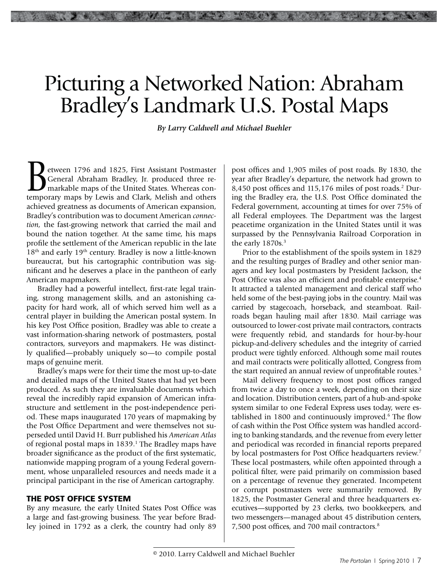*By Larry Caldwell and Michael Buehler*

European 1796 and 1825, First Assistant Postmaster<br>General Abraham Bradley, Jr. produced three re-<br>markable maps of the United States. Whereas con-<br>temporary maps by Lewis and Clark. Melish and others General Abraham Bradley, Jr. produced three remarkable maps of the United States. Whereas contemporary maps by Lewis and Clark, Melish and others achieved greatness as documents of American expansion, Bradley's contribution was to document American *connection,* the fast-growing network that carried the mail and bound the nation together. At the same time, his maps profile the settlement of the American republic in the late 18<sup>th</sup> and early 19<sup>th</sup> century. Bradley is now a little-known bureaucrat, but his cartographic contribution was significant and he deserves a place in the pantheon of early American mapmakers.

Bradley had a powerful intellect, first-rate legal training, strong management skills, and an astonishing capacity for hard work, all of which served him well as a central player in building the American postal system. In his key Post Office position, Bradley was able to create a vast information-sharing network of postmasters, postal contractors, surveyors and mapmakers. He was distinctly qualified—probably uniquely so—to compile postal maps of genuine merit.

Bradley's maps were for their time the most up-to-date and detailed maps of the United States that had yet been produced. As such they are invaluable documents which reveal the incredibly rapid expansion of American infrastructure and settlement in the post-independence period. These maps inaugurated 170 years of mapmaking by the Post Office Department and were themselves not superseded until David H. Burr published his *American Atlas*  of regional postal maps in 1839.<sup>1</sup> The Bradley maps have broader significance as the product of the first systematic, nationwide mapping program of a young Federal government, whose unparalleled resources and needs made it a principal participant in the rise of American cartography.

#### **THE POST OFFICE SYSTEM**

By any measure, the early United States Post Office was a large and fast-growing business. The year before Bradley joined in 1792 as a clerk, the country had only 89

post offices and 1,905 miles of post roads. By 1830, the year after Bradley's departure, the network had grown to 8,450 post offices and 115,176 miles of post roads.<sup>2</sup> During the Bradley era, the U.S. Post Office dominated the Federal government, accounting at times for over 75% of all Federal employees. The Department was the largest peacetime organization in the United States until it was surpassed by the Pennsylvania Railroad Corporation in the early 1870s.<sup>3</sup>

Prior to the establishment of the spoils system in 1829 and the resulting purges of Bradley and other senior managers and key local postmasters by President Jackson, the Post Office was also an efficient and profitable enterprise.<sup>4</sup> It attracted a talented management and clerical staff who held some of the best-paying jobs in the country. Mail was carried by stagecoach, horseback, and steamboat. Railroads began hauling mail after 1830. Mail carriage was outsourced to lower-cost private mail contractors, contracts were frequently rebid, and standards for hour-by-hour pickup-and-delivery schedules and the integrity of carried product were tightly enforced. Although some mail routes and mail contracts were politically allotted, Congress from the start required an annual review of unprofitable routes.<sup>5</sup>

Mail delivery frequency to most post offices ranged from twice a day to once a week, depending on their size and location. Distribution centers, part of a hub-and-spoke system similar to one Federal Express uses today, were established in 1800 and continuously improved.<sup>6</sup> The flow of cash within the Post Office system was handled according to banking standards, and the revenue from every letter and periodical was recorded in financial reports prepared by local postmasters for Post Office headquarters review.<sup>7</sup> These local postmasters, while often appointed through a political filter, were paid primarily on commission based on a percentage of revenue they generated. Incompetent or corrupt postmasters were summarily removed. By 1825, the Postmaster General and three headquarters executives—supported by 23 clerks, two bookkeepers, and two messengers—managed about 45 distribution centers, 7,500 post offices, and 700 mail contractors.8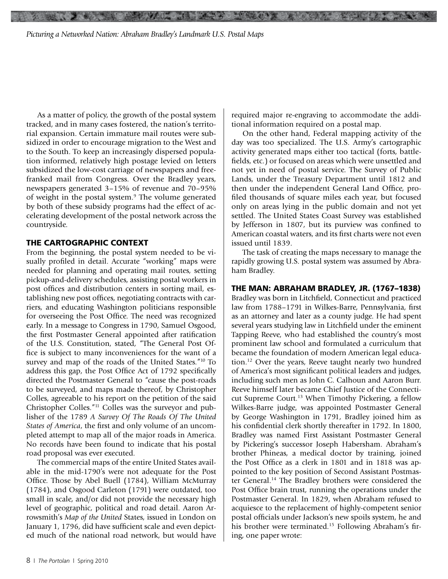As a matter of policy, the growth of the postal system tracked, and in many cases fostered, the nation's territorial expansion. Certain immature mail routes were subsidized in order to encourage migration to the West and to the South. To keep an increasingly dispersed population informed, relatively high postage levied on letters subsidized the low-cost carriage of newspapers and freefranked mail from Congress. Over the Bradley years, newspapers generated 3–15% of revenue and 70–95% of weight in the postal system.<sup>9</sup> The volume generated by both of these subsidy programs had the effect of accelerating development of the postal network across the countryside.

#### **THE CARTOGRAPHIC CONTEXT**

From the beginning, the postal system needed to be visually profiled in detail. Accurate "working" maps were needed for planning and operating mail routes, setting pickup-and-delivery schedules, assisting postal workers in post offices and distribution centers in sorting mail, establishing new post offices, negotiating contracts with carriers, and educating Washington politicians responsible for overseeing the Post Office. The need was recognized early. In a message to Congress in 1790, Samuel Osgood, the first Postmaster General appointed after ratification of the U.S. Constitution, stated, "The General Post Office is subject to many inconveniences for the want of a survey and map of the roads of the United States."10 To address this gap, the Post Office Act of 1792 specifically directed the Postmaster General to "cause the post-roads to be surveyed, and maps made thereof, by Christopher Colles, agreeable to his report on the petition of the said Christopher Colles."11 Colles was the surveyor and publisher of the 1789 *A Survey Of The Roads Of The United States of America*, the first and only volume of an uncompleted attempt to map all of the major roads in America. No records have been found to indicate that his postal road proposal was ever executed.

The commercial maps of the entire United States available in the mid-1790's were not adequate for the Post Office. Those by Abel Buell (1784), William McMurray (1784), and Osgood Carleton (1791) were outdated, too small in scale, and/or did not provide the necessary high level of geographic, political and road detail. Aaron Arrowsmith's *Map of the United* States, issued in London on January 1, 1796, did have sufficient scale and even depicted much of the national road network, but would have

required major re-engraving to accommodate the additional information required on a postal map.

大正 防御 演

On the other hand, Federal mapping activity of the day was too specialized. The U.S. Army's cartographic activity generated maps either too tactical (forts, battlefields, etc.) or focused on areas which were unsettled and not yet in need of postal service. The Survey of Public Lands, under the Treasury Department until 1812 and then under the independent General Land Office, profiled thousands of square miles each year, but focused only on areas lying in the public domain and not yet settled. The United States Coast Survey was established by Jefferson in 1807, but its purview was confined to American coastal waters, and its first charts were not even issued until 1839.

The task of creating the maps necessary to manage the rapidly growing U.S. postal system was assumed by Abraham Bradley.

#### **THE MAN: ABRAHAM BRADLEY, JR. (1767–1838)**

Bradley was born in Litchfield, Connecticut and practiced law from 1788–1791 in Wilkes-Barre, Pennsylvania, first as an attorney and later as a county judge. He had spent several years studying law in Litchfield under the eminent Tapping Reeve, who had established the country's most prominent law school and formulated a curriculum that became the foundation of modern American legal education.12 Over the years, Reeve taught nearly two hundred of America's most significant political leaders and judges, including such men as John C. Calhoun and Aaron Burr. Reeve himself later became Chief Justice of the Connecticut Supreme Court.<sup>13</sup> When Timothy Pickering, a fellow Wilkes-Barre judge, was appointed Postmaster General by George Washington in 1791, Bradley joined him as his confidential clerk shortly thereafter in 1792. In 1800, Bradley was named First Assistant Postmaster General by Pickering's successor Joseph Habersham. Abraham's brother Phineas, a medical doctor by training, joined the Post Office as a clerk in 1801 and in 1818 was appointed to the key position of Second Assistant Postmaster General.<sup>14</sup> The Bradley brothers were considered the Post Office brain trust, running the operations under the Postmaster General. In 1829, when Abraham refused to acquiesce to the replacement of highly-competent senior postal officials under Jackson's new spoils system, he and his brother were terminated.<sup>15</sup> Following Abraham's firing, one paper wrote: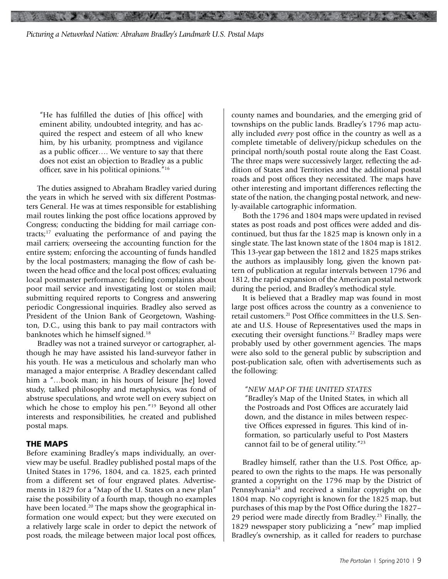"He has fulfilled the duties of [his office] with eminent ability, undoubted integrity, and has acquired the respect and esteem of all who knew him, by his urbanity, promptness and vigilance as a public officer…. We venture to say that there does not exist an objection to Bradley as a public officer, save in his political opinions."16

The duties assigned to Abraham Bradley varied during the years in which he served with six different Postmasters General. He was at times responsible for establishing mail routes linking the post office locations approved by Congress; conducting the bidding for mail carriage contracts; $17$  evaluating the performance of and paying the mail carriers; overseeing the accounting function for the entire system; enforcing the accounting of funds handled by the local postmasters; managing the flow of cash between the head office and the local post offices; evaluating local postmaster performance; fielding complaints about poor mail service and investigating lost or stolen mail; submitting required reports to Congress and answering periodic Congressional inquiries. Bradley also served as President of the Union Bank of Georgetown, Washington, D.C., using this bank to pay mail contractors with banknotes which he himself signed.18

Bradley was not a trained surveyor or cartographer, although he may have assisted his land-surveyor father in his youth. He was a meticulous and scholarly man who managed a major enterprise. A Bradley descendant called him a "…book man; in his hours of leisure [he] loved study, talked philosophy and metaphysics, was fond of abstruse speculations, and wrote well on every subject on which he chose to employ his pen."19 Beyond all other interests and responsibilities, he created and published postal maps.

#### **THE MAPS**

Before examining Bradley's maps individually, an overview may be useful. Bradley published postal maps of the United States in 1796, 1804, and ca. 1825, each printed from a different set of four engraved plates. Advertisements in 1829 for a "Map of the U. States on a new plan" raise the possibility of a fourth map, though no examples have been located.<sup>20</sup> The maps show the geographical information one would expect; but they were executed on a relatively large scale in order to depict the network of post roads, the mileage between major local post offices,

county names and boundaries, and the emerging grid of townships on the public lands. Bradley's 1796 map actually included *every* post office in the country as well as a complete timetable of delivery/pickup schedules on the principal north/south postal route along the East Coast. The three maps were successively larger, reflecting the addition of States and Territories and the additional postal roads and post offices they necessitated. The maps have other interesting and important differences reflecting the state of the nation, the changing postal network, and newly-available cartographic information.

use anno

Both the 1796 and 1804 maps were updated in revised states as post roads and post offices were added and discontinued, but thus far the 1825 map is known only in a single state. The last known state of the 1804 map is 1812. This 13-year gap between the 1812 and 1825 maps strikes the authors as implausibly long, given the known pattern of publication at regular intervals between 1796 and 1812, the rapid expansion of the American postal network during the period, and Bradley's methodical style.

It is believed that a Bradley map was found in most large post offices across the country as a convenience to retail customers.21 Post Office committees in the U.S. Senate and U.S. House of Representatives used the maps in executing their oversight functions.<sup>22</sup> Bradley maps were probably used by other government agencies. The maps were also sold to the general public by subscription and post-publication sale, often with advertisements such as the following:

#### "*NEW MAP OF THE UNITED STATES*

"Bradley's Map of the United States, in which all the Postroads and Post Offices are accurately laid down, and the distance in miles between respective Offices expressed in figures. This kind of information, so particularly useful to Post Masters cannot fail to be of general utility."23

Bradley himself, rather than the U.S. Post Office, appeared to own the rights to the maps. He was personally granted a copyright on the 1796 map by the District of Pennsylvania<sup>24</sup> and received a similar copyright on the 1804 map. No copyright is known for the 1825 map, but purchases of this map by the Post Office during the 1827– 29 period were made directly from Bradley.25 Finally, the 1829 newspaper story publicizing a "new" map implied Bradley's ownership, as it called for readers to purchase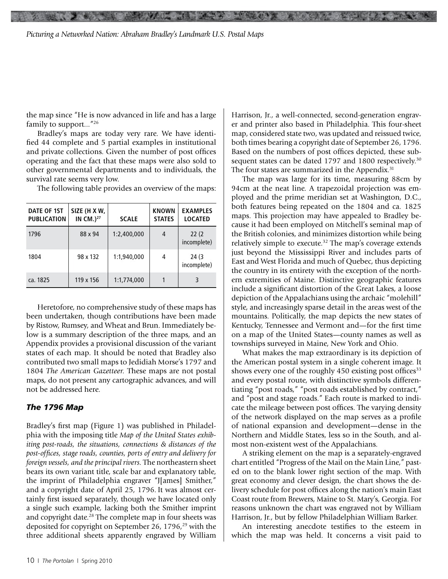the map since "He is now advanced in life and has a large family to support..."<sup>26</sup>

Bradley's maps are today very rare. We have identified 44 complete and 5 partial examples in institutional and private collections. Given the number of post offices operating and the fact that these maps were also sold to other governmental departments and to individuals, the survival rate seems very low.

The following table provides an overview of the maps:

| DATE OF 1ST<br><b>PUBLICATION</b> | SIZE (H X W,<br>IN $CM.$ ) <sup>27</sup> | <b>SCALE</b> | <b>KNOWN</b><br><b>STATES</b> | <b>EXAMPLES</b><br><b>LOCATED</b> |
|-----------------------------------|------------------------------------------|--------------|-------------------------------|-----------------------------------|
| 1796                              | 88 x 94                                  | 1:2.400.000  | 4                             | 22(2)<br>incomplete)              |
| 1804                              | 98 x 132                                 | 1:1.940.000  | 4                             | 24 (3<br>incomplete)              |
| ca. 1825                          | 119 x 156                                | 1:1,774,000  |                               | 3                                 |

Heretofore, no comprehensive study of these maps has been undertaken, though contributions have been made by Ristow, Rumsey, and Wheat and Brun. Immediately below is a summary description of the three maps, and an Appendix provides a provisional discussion of the variant states of each map. It should be noted that Bradley also contributed two small maps to Jedidiah Morse's 1797 and 1804 *The American Gazetteer.* These maps are not postal maps, do not present any cartographic advances, and will not be addressed here.

#### *The 1796 Map*

Bradley's first map (Figure 1) was published in Philadelphia with the imposing title *Map of the United States exhibiting post-roads, the situations, connections & distances of the post-offices, stage roads, counties, ports of entry and delivery for foreign vessels, and the principal rivers.* The northeastern sheet bears its own variant title, scale bar and explanatory table, the imprint of Philadelphia engraver "J[ames] Smither," and a copyright date of April 25, 1796. It was almost certainly first issued separately, though we have located only a single such example, lacking both the Smither imprint and copyright date.<sup>28</sup> The complete map in four sheets was deposited for copyright on September 26, 1796,<sup>29</sup> with the three additional sheets apparently engraved by William

Harrison, Jr., a well-connected, second-generation engraver and printer also based in Philadelphia. This four-sheet map, considered state two, was updated and reissued twice, both times bearing a copyright date of September 26, 1796. Based on the numbers of post offices depicted, these subsequent states can be dated 1797 and 1800 respectively.<sup>30</sup> The four states are summarized in the Appendix.<sup>31</sup>

The map was large for its time, measuring 88cm by 94cm at the neat line. A trapezoidal projection was employed and the prime meridian set at Washington, D.C., both features being repeated on the 1804 and ca. 1825 maps. This projection may have appealed to Bradley because it had been employed on Mitchell's seminal map of the British colonies, and minimizes distortion while being relatively simple to execute.<sup>32</sup> The map's coverage extends just beyond the Mississippi River and includes parts of East and West Florida and much of Quebec, thus depicting the country in its entirety with the exception of the northern extremities of Maine. Distinctive geographic features include a significant distortion of the Great Lakes, a loose depiction of the Appalachians using the archaic "molehill" style, and increasingly sparse detail in the areas west of the mountains. Politically, the map depicts the new states of Kentucky, Tennessee and Vermont and—for the first time on a map of the United States—county names as well as townships surveyed in Maine, New York and Ohio.

What makes the map extraordinary is its depiction of the American postal system in a single coherent image. It shows every one of the roughly 450 existing post offices<sup>33</sup> and every postal route, with distinctive symbols differentiating "post roads," "post roads established by contract," and "post and stage roads." Each route is marked to indicate the mileage between post offices. The varying density of the network displayed on the map serves as a profile of national expansion and development—dense in the Northern and Middle States, less so in the South, and almost non-existent west of the Appalachians.

A striking element on the map is a separately-engraved chart entitled "Progress of the Mail on the Main Line," pasted on to the blank lower right section of the map. With great economy and clever design, the chart shows the delivery schedule for post offices along the nation's main East Coast route from Brewers, Maine to St. Mary's, Georgia. For reasons unknown the chart was engraved not by William Harrison, Jr., but by fellow Philadelphian William Barker.

An interesting anecdote testifies to the esteem in which the map was held. It concerns a visit paid to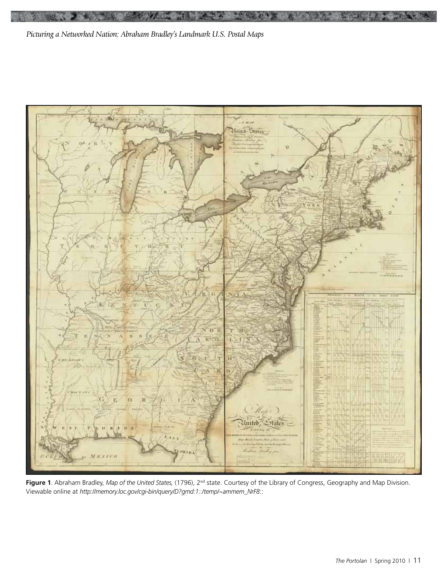

w

**Figure 1**. Abraham Bradley, *Map of the United States,* (1796), 2nd state. Courtesy of the Library of Congress, Geography and Map Division. Viewable online at *http://memory.loc.gov/cgi-bin/query/D?gmd:1:./temp/~ammem\_NrF8*::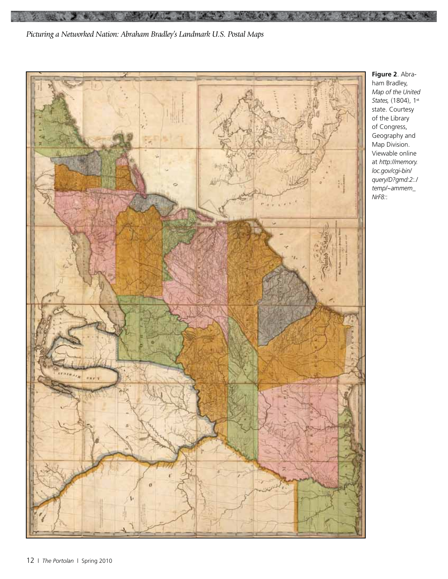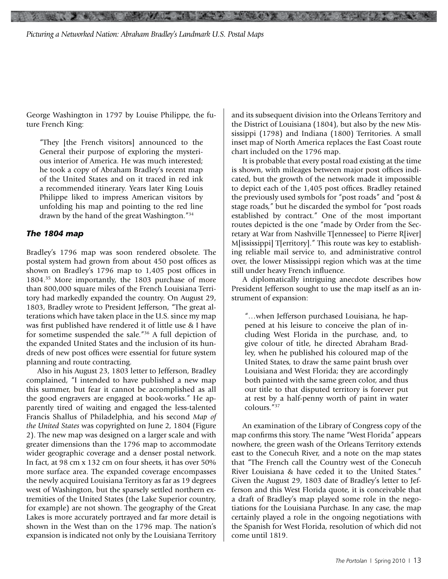George Washington in 1797 by Louise Philippe, the future French King:

"They [the French visitors] announced to the General their purpose of exploring the mysterious interior of America. He was much interested; he took a copy of Abraham Bradley's recent map of the United States and on it traced in red ink a recommended itinerary. Years later King Louis Philippe liked to impress American visitors by unfolding his map and pointing to the red line drawn by the hand of the great Washington."34

#### *The 1804 map*

Bradley's 1796 map was soon rendered obsolete. The postal system had grown from about 450 post offices as shown on Bradley's 1796 map to 1,405 post offices in 1804.35 More importantly, the 1803 purchase of more than 800,000 square miles of the French Louisiana Territory had markedly expanded the country. On August 29, 1803, Bradley wrote to President Jefferson, "The great alterations which have taken place in the U.S. since my map was first published have rendered it of little use & I have for sometime suspended the sale."36 A full depiction of the expanded United States and the inclusion of its hundreds of new post offices were essential for future system planning and route contracting.

Also in his August 23, 1803 letter to Jefferson, Bradley complained, "I intended to have published a new map this summer, but fear it cannot be accomplished as all the good engravers are engaged at book-works." He apparently tired of waiting and engaged the less-talented Francis Shallus of Philadelphia, and his second *Map of the United States* was copyrighted on June 2, 1804 (Figure 2). The new map was designed on a larger scale and with greater dimensions than the 1796 map to accommodate wider geographic coverage and a denser postal network. In fact, at 98 cm x 132 cm on four sheets, it has over 50% more surface area. The expanded coverage encompasses the newly acquired Louisiana Territory as far as 19 degrees west of Washington, but the sparsely settled northern extremities of the United States (the Lake Superior country, for example) are not shown. The geography of the Great Lakes is more accurately portrayed and far more detail is shown in the West than on the 1796 map. The nation's expansion is indicated not only by the Louisiana Territory

and its subsequent division into the Orleans Territory and the District of Louisiana (1804), but also by the new Mississippi (1798) and Indiana (1800) Territories. A small inset map of North America replaces the East Coast route chart included on the 1796 map.

**ANG ATANG** 

It is probable that every postal road existing at the time is shown, with mileages between major post offices indicated, but the growth of the network made it impossible to depict each of the 1,405 post offices. Bradley retained the previously used symbols for "post roads" and "post & stage roads," but he discarded the symbol for "post roads established by contract." One of the most important routes depicted is the one "made by Order from the Secretary at War from Nashville T[ennessee] to Pierre R[iver] M[ississippi] T[erritory]." This route was key to establishing reliable mail service to, and administrative control over, the lower Mississippi region which was at the time still under heavy French influence.

A diplomatically intriguing anecdote describes how President Jefferson sought to use the map itself as an instrument of expansion:

"…when Jefferson purchased Louisiana, he happened at his leisure to conceive the plan of including West Florida in the purchase, and, to give colour of title, he directed Abraham Bradley, when he published his coloured map of the United States, to draw the same paint brush over Louisiana and West Florida; they are accordingly both painted with the same green color, and thus our title to that disputed territory is forever put at rest by a half-penny worth of paint in water colours."37

An examination of the Library of Congress copy of the map confirms this story. The name "West Florida" appears nowhere, the green wash of the Orleans Territory extends east to the Conecuh River, and a note on the map states that "The French call the Country west of the Conecuh River Louisiana & have ceded it to the United States." Given the August 29, 1803 date of Bradley's letter to Jefferson and this West Florida quote, it is conceivable that a draft of Bradley's map played some role in the negotiations for the Louisiana Purchase. In any case, the map certainly played a role in the ongoing negotiations with the Spanish for West Florida, resolution of which did not come until 1819.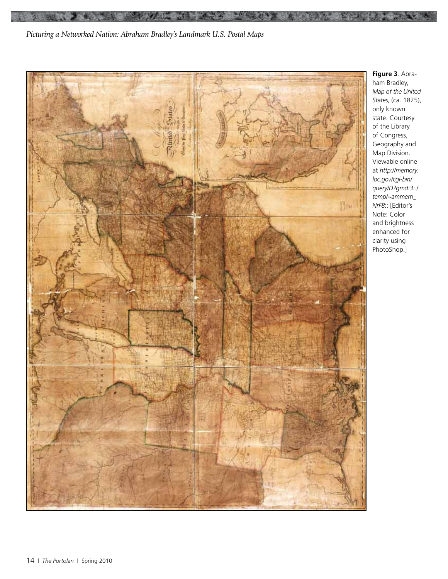

**Figure 3**. Abraham Bradley, *Map of the United States,* (ca. 1825), only known state. Courtesy of the Library of Congress, Geography and Map Division. Viewable online at *http://memory. loc.gov/cgi-bin/ query/D?gmd:3:./ temp/~ammem\_ NrF8*:: [Editor's Note: Color and brightness enhanced for clarity using PhotoShop.]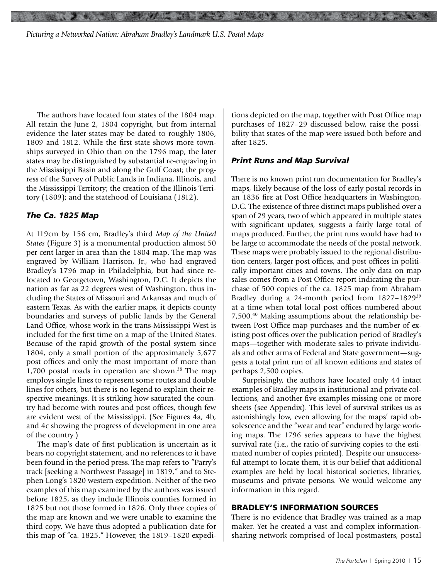The authors have located four states of the 1804 map. All retain the June 2, 1804 copyright, but from internal evidence the later states may be dated to roughly 1806, 1809 and 1812. While the first state shows more townships surveyed in Ohio than on the 1796 map, the later states may be distinguished by substantial re-engraving in the Mississippi Basin and along the Gulf Coast; the progress of the Survey of Public Lands in Indiana, Illinois, and the Mississippi Territory; the creation of the Illinois Territory (1809); and the statehood of Louisiana (1812).

#### *The Ca. 1825 Map*

At 119cm by 156 cm, Bradley's third *Map of the United States* (Figure 3) is a monumental production almost 50 per cent larger in area than the 1804 map. The map was engraved by William Harrison, Jr., who had engraved Bradley's 1796 map in Philadelphia, but had since relocated to Georgetown, Washington, D.C. It depicts the nation as far as 22 degrees west of Washington, thus including the States of Missouri and Arkansas and much of eastern Texas. As with the earlier maps, it depicts county boundaries and surveys of public lands by the General Land Office, whose work in the trans-Mississippi West is included for the first time on a map of the United States. Because of the rapid growth of the postal system since 1804, only a small portion of the approximately 5,677 post offices and only the most important of more than  $1,700$  postal roads in operation are shown.<sup>38</sup> The map employs single lines to represent some routes and double lines for others, but there is no legend to explain their respective meanings. It is striking how saturated the country had become with routes and post offices, though few are evident west of the Mississippi. (See Figures 4a, 4b, and 4c showing the progress of development in one area of the country.)

The map's date of first publication is uncertain as it bears no copyright statement, and no references to it have been found in the period press. The map refers to "Parry's track [seeking a Northwest Passage] in 1819," and to Stephen Long's 1820 western expedition. Neither of the two examples of this map examined by the authors was issued before 1825, as they include Illinois counties formed in 1825 but not those formed in 1826. Only three copies of the map are known and we were unable to examine the third copy. We have thus adopted a publication date for this map of "ca. 1825." However, the 1819–1820 expeditions depicted on the map, together with Post Office map purchases of 1827–29 discussed below, raise the possibility that states of the map were issued both before and after 1825.

#### *Print Runs and Map Survival*

**Controller State** 

There is no known print run documentation for Bradley's maps, likely because of the loss of early postal records in an 1836 fire at Post Office headquarters in Washington, D.C. The existence of three distinct maps published over a span of 29 years, two of which appeared in multiple states with significant updates, suggests a fairly large total of maps produced. Further, the print runs would have had to be large to accommodate the needs of the postal network. These maps were probably issued to the regional distribution centers, larger post offices, and post offices in politically important cities and towns. The only data on map sales comes from a Post Office report indicating the purchase of 500 copies of the ca. 1825 map from Abraham Bradley during a 24-month period from 1827–182939 at a time when total local post offices numbered about 7,500.40 Making assumptions about the relationship between Post Office map purchases and the number of existing post offices over the publication period of Bradley's maps—together with moderate sales to private individuals and other arms of Federal and State government—suggests a total print run of all known editions and states of perhaps 2,500 copies.

Surprisingly, the authors have located only 44 intact examples of Bradley maps in institutional and private collections, and another five examples missing one or more sheets (see Appendix). This level of survival strikes us as astonishingly low, even allowing for the maps' rapid obsolescence and the "wear and tear" endured by large working maps. The 1796 series appears to have the highest survival rate (i.e., the ratio of surviving copies to the estimated number of copies printed). Despite our unsuccessful attempt to locate them, it is our belief that additional examples are held by local historical societies, libraries, museums and private persons. We would welcome any information in this regard.

#### **BRADLEY'S INFORMATION SOURCES**

There is no evidence that Bradley was trained as a map maker. Yet he created a vast and complex informationsharing network comprised of local postmasters, postal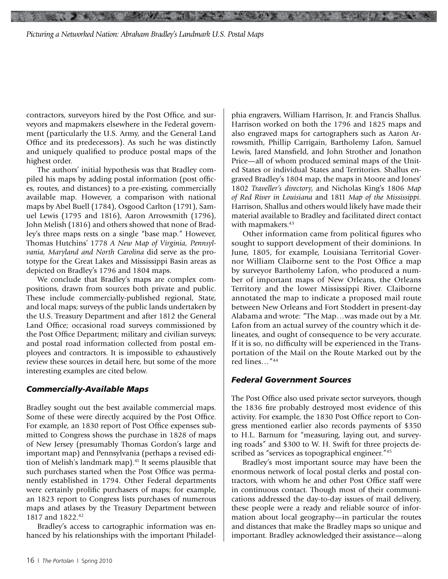contractors, surveyors hired by the Post Office, and surveyors and mapmakers elsewhere in the Federal government (particularly the U.S. Army, and the General Land Office and its predecessors). As such he was distinctly and uniquely qualified to produce postal maps of the highest order.

The authors' initial hypothesis was that Bradley compiled his maps by adding postal information (post offices, routes, and distances) to a pre-existing, commercially available map. However, a comparison with national maps by Abel Buell (1784), Osgood Carlton (1791), Samuel Lewis (1795 and 1816), Aaron Arrowsmith (1796), John Melish (1816) and others showed that none of Bradley's three maps rests on a single "base map." However, Thomas Hutchins' 1778 *A New Map of Virginia, Pennsylvania, Maryland and North Carolina* did serve as the prototype for the Great Lakes and Mississippi Basin areas as depicted on Bradley's 1796 and 1804 maps.

We conclude that Bradley's maps are complex compositions, drawn from sources both private and public. These include commercially-published regional, State, and local maps; surveys of the public lands undertaken by the U.S. Treasury Department and after 1812 the General Land Office; occasional road surveys commissioned by the Post Office Department; military and civilian surveys; and postal road information collected from postal employees and contractors. It is impossible to exhaustively review these sources in detail here, but some of the more interesting examples are cited below.

#### *Commercially-Available Maps*

Bradley sought out the best available commercial maps. Some of these were directly acquired by the Post Office. For example, an 1830 report of Post Office expenses submitted to Congress shows the purchase in 1828 of maps of New Jersey (presumably Thomas Gordon's large and important map) and Pennsylvania (perhaps a revised edition of Melish's landmark map).<sup>41</sup> It seems plausible that such purchases started when the Post Office was permanently established in 1794. Other Federal departments were certainly prolific purchasers of maps; for example, an 1823 report to Congress lists purchases of numerous maps and atlases by the Treasury Department between 1817 and 1822.<sup>42</sup>

Bradley's access to cartographic information was enhanced by his relationships with the important Philadelphia engravers, William Harrison, Jr. and Francis Shallus. Harrison worked on both the 1796 and 1825 maps and also engraved maps for cartographers such as Aaron Arrowsmith, Phillip Carrigain, Bartholemy Lafon, Samuel Lewis, Jared Mansfield, and John Strother and Jonathon Price—all of whom produced seminal maps of the United States or individual States and Territories. Shallus engraved Bradley's 1804 map, the maps in Moore and Jones' 1802 *Traveller's directory*, and Nicholas King's 1806 *Map of Red River in Louisiana* and 1811 *Map of the Mississippi.* Harrison, Shallus and others would likely have made their material available to Bradley and facilitated direct contact with mapmakers.<sup>43</sup>

**CAR WAS ARRIVED** 

Other information came from political figures who sought to support development of their dominions. In June, 1805, for example, Louisiana Territorial Governor William Claiborne sent to the Post Office a map by surveyor Bartholemy Lafon, who produced a number of important maps of New Orleans, the Orleans Territory and the lower Mississippi River. Claiborne annotated the map to indicate a proposed mail route between New Orleans and Fort Stoddert in present-day Alabama and wrote: "The Map…was made out by a Mr. Lafon from an actual survey of the country which it delineates, and ought of consequence to be very accurate. If it is so, no difficulty will be experienced in the Transportation of the Mail on the Route Marked out by the red lines…"44

#### *Federal Government Sources*

The Post Office also used private sector surveyors, though the 1836 fire probably destroyed most evidence of this activity. For example, the 1830 Post Office report to Congress mentioned earlier also records payments of \$350 to H.L. Barnum for "measuring, laying out, and surveying roads" and \$300 to W. H. Swift for three projects described as "services as topographical engineer."<sup>45</sup>

Bradley's most important source may have been the enormous network of local postal clerks and postal contractors, with whom he and other Post Office staff were in continuous contact. Though most of their communications addressed the day-to-day issues of mail delivery, these people were a ready and reliable source of information about local geography—in particular the routes and distances that make the Bradley maps so unique and important. Bradley acknowledged their assistance—along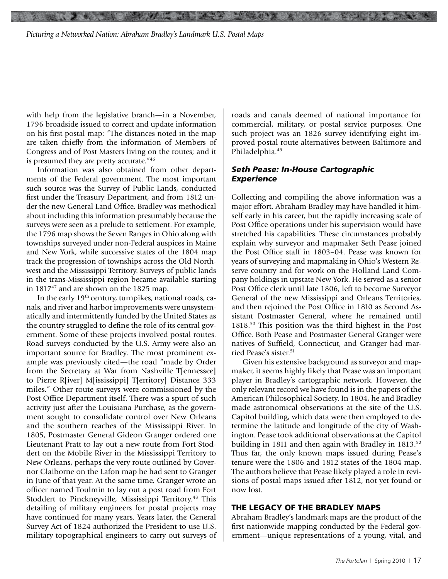with help from the legislative branch—in a November, 1796 broadside issued to correct and update information on his first postal map: "The distances noted in the map are taken chiefly from the information of Members of Congress and of Post Masters living on the routes; and it is presumed they are pretty accurate."<sup>46</sup>

Information was also obtained from other departments of the Federal government. The most important such source was the Survey of Public Lands, conducted first under the Treasury Department, and from 1812 under the new General Land Office. Bradley was methodical about including this information presumably because the surveys were seen as a prelude to settlement. For example, the 1796 map shows the Seven Ranges in Ohio along with townships surveyed under non-Federal auspices in Maine and New York, while successive states of the 1804 map track the progression of townships across the Old Northwest and the Mississippi Territory. Surveys of public lands in the trans-Mississippi region became available starting in 1817<sup>47</sup> and are shown on the 1825 map.

In the early 19<sup>th</sup> century, turnpikes, national roads, canals, and river and harbor improvements were unsystematically and intermittently funded by the United States as the country struggled to define the role of its central government. Some of these projects involved postal routes. Road surveys conducted by the U.S. Army were also an important source for Bradley. The most prominent example was previously cited—the road "made by Order from the Secretary at War from Nashville T[ennessee] to Pierre R[iver] M[ississippi] T[erritory] Distance 333 miles." Other route surveys were commissioned by the Post Office Department itself. There was a spurt of such activity just after the Louisiana Purchase, as the government sought to consolidate control over New Orleans and the southern reaches of the Mississippi River. In 1805, Postmaster General Gideon Granger ordered one Lieutenant Pratt to lay out a new route from Fort Stoddert on the Mobile River in the Mississippi Territory to New Orleans, perhaps the very route outlined by Governor Claiborne on the Lafon map he had sent to Granger in June of that year. At the same time, Granger wrote an officer named Toulmin to lay out a post road from Fort Stoddert to Pinckneyville, Mississippi Territory.48 This detailing of military engineers for postal projects may have continued for many years. Years later, the General Survey Act of 1824 authorized the President to use U.S. military topographical engineers to carry out surveys of roads and canals deemed of national importance for commercial, military, or postal service purposes. One such project was an 1826 survey identifying eight improved postal route alternatives between Baltimore and Philadelphia.<sup>49</sup>

#### *Seth Pease: In-House Cartographic Experience*

**SUSH AT 19 24** 

Collecting and compiling the above information was a major effort. Abraham Bradley may have handled it himself early in his career, but the rapidly increasing scale of Post Office operations under his supervision would have stretched his capabilities. These circumstances probably explain why surveyor and mapmaker Seth Pease joined the Post Office staff in 1803–04. Pease was known for years of surveying and mapmaking in Ohio's Western Reserve country and for work on the Holland Land Company holdings in upstate New York. He served as a senior Post Office clerk until late 1806, left to become Surveyor General of the new Mississippi and Orleans Territories, and then rejoined the Post Office in 1810 as Second Assistant Postmaster General, where he remained until 1818.50 This position was the third highest in the Post Office. Both Pease and Postmaster General Granger were natives of Suffield, Connecticut, and Granger had married Pease's sister.<sup>51</sup>

Given his extensive background as surveyor and mapmaker, it seems highly likely that Pease was an important player in Bradley's cartographic network. However, the only relevant record we have found is in the papers of the American Philosophical Society. In 1804, he and Bradley made astronomical observations at the site of the U.S. Capitol building, which data were then employed to determine the latitude and longitude of the city of Washington. Pease took additional observations at the Capitol building in 1811 and then again with Bradley in 1813.<sup>52</sup> Thus far, the only known maps issued during Pease's tenure were the 1806 and 1812 states of the 1804 map. The authors believe that Pease likely played a role in revisions of postal maps issued after 1812, not yet found or now lost.

#### **THE LEGACY OF THE BRADLEY MAPS**

Abraham Bradley's landmark maps are the product of the first nationwide mapping conducted by the Federal government—unique representations of a young, vital, and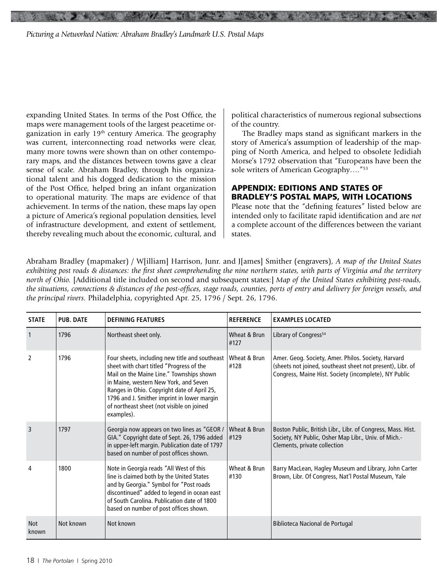expanding United States. In terms of the Post Office, the maps were management tools of the largest peacetime organization in early 19<sup>th</sup> century America. The geography was current, interconnecting road networks were clear, many more towns were shown than on other contemporary maps, and the distances between towns gave a clear sense of scale. Abraham Bradley, through his organizational talent and his dogged dedication to the mission of the Post Office, helped bring an infant organization to operational maturity. The maps are evidence of that achievement. In terms of the nation, these maps lay open a picture of America's regional population densities, level of infrastructure development, and extent of settlement, thereby revealing much about the economic, cultural, and

political characteristics of numerous regional subsections of the country.

The Bradley maps stand as significant markers in the story of America's assumption of leadership of the mapping of North America, and helped to obsolete Jedidiah Morse's 1792 observation that "Europeans have been the sole writers of American Geography....<sup>"53</sup>

#### **APPENDIX: EDITIONS AND STATES OF BRADLEY'S POSTAL MAPS, WITH LOCATIONS**

Please note that the "defining features" listed below are intended only to facilitate rapid identification and are *not*  a complete account of the differences between the variant states.

Abraham Bradley (mapmaker) / W[illiam] Harrison, Junr. and J[ames] Smither (engravers), *A map of the United States exhibiting post roads & distances: the first sheet comprehending the nine northern states, with parts of Virginia and the territory north of Ohio.* [Additional title included on second and subsequent states:] *Map of the United States exhibiting post-roads, the situations, connections & distances of the post-offices, stage roads, counties, ports of entry and delivery for foreign vessels, and the principal rivers.* Philadelphia, copyrighted Apr. 25, 1796 / Sept. 26, 1796.

| <b>STATE</b>        | <b>PUB. DATE</b> | <b>DEFINING FEATURES</b>                                                                                                                                                                                                                                                                                                                 | <b>REFERENCE</b>      | <b>EXAMPLES LOCATED</b>                                                                                                                                                    |
|---------------------|------------------|------------------------------------------------------------------------------------------------------------------------------------------------------------------------------------------------------------------------------------------------------------------------------------------------------------------------------------------|-----------------------|----------------------------------------------------------------------------------------------------------------------------------------------------------------------------|
|                     | 1796             | Northeast sheet only.                                                                                                                                                                                                                                                                                                                    | Wheat & Brun<br>#127  | Library of Congress <sup>54</sup>                                                                                                                                          |
| $\mathfrak{p}$      | 1796             | Four sheets, including new title and southeast<br>sheet with chart titled "Progress of the<br>Mail on the Maine Line." Townships shown<br>in Maine, western New York, and Seven<br>Ranges in Ohio. Copyright date of April 25,<br>1796 and J. Smither imprint in lower margin<br>of northeast sheet (not visible on joined<br>examples). | Wheat & Brun<br>#128  | Amer. Geog. Society, Amer. Philos. Society, Harvard<br>(sheets not joined, southeast sheet not present), Libr. of<br>Congress, Maine Hist. Society (incomplete), NY Public |
| $\overline{3}$      | 1797             | Georgia now appears on two lines as "GEOR /<br>GIA." Copyright date of Sept. 26, 1796 added<br>in upper-left margin. Publication date of 1797<br>based on number of post offices shown.                                                                                                                                                  | Wheat & Brun<br> #129 | Boston Public, British Libr., Libr. of Congress, Mass. Hist.<br>Society, NY Public, Osher Map Libr., Univ. of Mich.-<br>Clements, private collection                       |
| 4                   | 1800             | Note in Georgia reads "All West of this<br>line is claimed both by the United States<br>and by Georgia." Symbol for "Post roads<br>discontinued" added to legend in ocean east<br>of South Carolina. Publication date of 1800<br>based on number of post offices shown.                                                                  | Wheat & Brun<br>#130  | Barry MacLean, Hagley Museum and Library, John Carter<br>Brown, Libr. Of Congress, Nat'l Postal Museum, Yale                                                               |
| <b>Not</b><br>known | Not known        | Not known                                                                                                                                                                                                                                                                                                                                |                       | Biblioteca Nacional de Portugal                                                                                                                                            |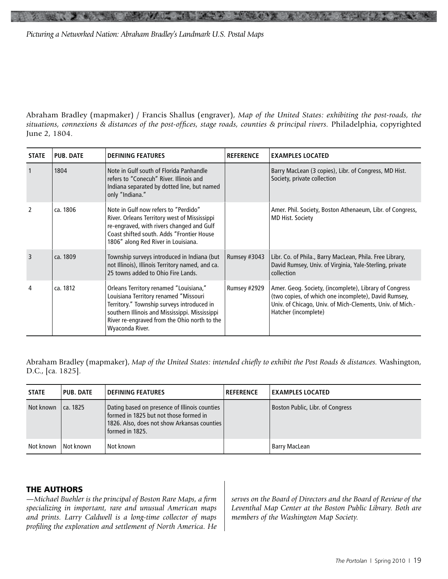Abraham Bradley (mapmaker) / Francis Shallus (engraver), *Map of the United States: exhibiting the post-roads, the situations, connexions & distances of the post-offices, stage roads, counties & principal rivers.* Philadelphia, copyrighted June 2, 1804.

| <b>STATE</b>   | <b>PUB. DATE</b> | <b>DEFINING FEATURES</b>                                                                                                                                                                                                                           | <b>REFERENCE</b> | <b>EXAMPLES LOCATED</b>                                                                                                                                                                             |
|----------------|------------------|----------------------------------------------------------------------------------------------------------------------------------------------------------------------------------------------------------------------------------------------------|------------------|-----------------------------------------------------------------------------------------------------------------------------------------------------------------------------------------------------|
| $\overline{1}$ | 1804             | Note in Gulf south of Florida Panhandle<br>refers to "Conecuh" River. Illinois and<br>Indiana separated by dotted line, but named<br>only "Indiana."                                                                                               |                  | Barry MacLean (3 copies), Libr. of Congress, MD Hist.<br>Society, private collection                                                                                                                |
| $\mathcal{L}$  | ca. 1806         | Note in Gulf now refers to "Perdido"<br>River. Orleans Territory west of Mississippi<br>re-engraved, with rivers changed and Gulf<br>Coast shifted south. Adds "Frontier House<br>1806" along Red River in Louisiana.                              |                  | Amer. Phil. Society, Boston Athenaeum, Libr. of Congress,<br><b>MD Hist. Society</b>                                                                                                                |
| 3              | ca. 1809         | Township surveys introduced in Indiana (but<br>not Illinois), Illinois Territory named, and ca.<br>25 towns added to Ohio Fire Lands.                                                                                                              | Rumsey #3043     | Libr. Co. of Phila., Barry MacLean, Phila. Free Library,<br>David Rumsey, Univ. of Virginia, Yale-Sterling, private<br>collection                                                                   |
| 4              | ca. 1812         | Orleans Territory renamed "Louisiana,"<br>Louisiana Territory renamed "Missouri<br>Territory." Township surveys introduced in<br>southern Illinois and Mississippi. Mississippi<br>River re-engraved from the Ohio north to the<br>Wyaconda River. | Rumsey #2929     | Amer. Geog. Society, (incomplete), Library of Congress<br>(two copies, of which one incomplete), David Rumsey,<br>Univ. of Chicago, Univ. of Mich-Clements, Univ. of Mich.-<br>Hatcher (incomplete) |

Abraham Bradley (mapmaker), *Map of the United States: intended chiefly to exhibit the Post Roads & distances.* Washington, D.C., [ca. 1825].

| <b>STATE</b> | <b>PUB. DATE</b> | <b>DEFINING FEATURES</b>                                                                                                                                  | <b>REFERENCE</b> | <b>EXAMPLES LOCATED</b>          |
|--------------|------------------|-----------------------------------------------------------------------------------------------------------------------------------------------------------|------------------|----------------------------------|
| Not known    | ca. 1825         | Dating based on presence of Illinois counties<br>formed in 1825 but not those formed in<br>1826. Also, does not show Arkansas counties<br>formed in 1825. |                  | Boston Public, Libr. of Congress |
| Not known    | Not known        | Not known                                                                                                                                                 |                  | Barry MacLean                    |

#### **THE AUTHORS**

*—Michael Buehler is the principal of Boston Rare Maps, a firm specializing in important, rare and unusual American maps and prints. Larry Caldwell is a long-time collector of maps profiling the exploration and settlement of North America. He*  *serves on the Board of Directors and the Board of Review of the Leventhal Map Center at the Boston Public Library. Both are members of the Washington Map Society.*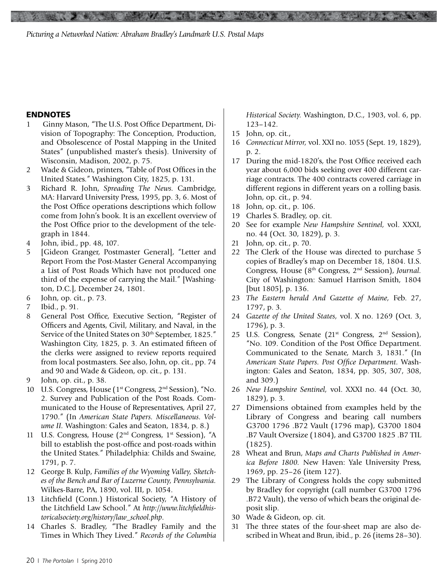#### **ENDNOTES**

- 1 Ginny Mason, "The U.S. Post Office Department, Division of Topography: The Conception, Production, and Obsolescence of Postal Mapping in the United States" (unpublished master's thesis). University of Wisconsin, Madison, 2002, p. 75.
- 2 Wade & Gideon, printers, "Table of Post Offices in the United States." Washington City, 1825, p. 131.
- 3 Richard R. John, *Spreading The News.* Cambridge, MA: Harvard University Press, 1995, pp. 3, 6. Most of the Post Office operations descriptions which follow come from John's book. It is an excellent overview of the Post Office prior to the development of the telegraph in 1844.
- 4 John, ibid., pp. 48, 107.
- 5 [Gideon Granger, Postmaster General], "Letter and Report From the Post-Master General Accompanying a List of Post Roads Which have not produced one third of the expense of carrying the Mail." [Washington, D.C.], December 24, 1801.
- 6 John, op. cit., p. 73.
- 7 Ibid., p. 91.
- 8 General Post Office, Executive Section, "Register of Officers and Agents, Civil, Military, and Naval, in the Service of the United States on 30<sup>th</sup> September, 1825." Washington City, 1825, p. 3. An estimated fifteen of the clerks were assigned to review reports required from local postmasters. See also, John, op. cit., pp. 74 and 90 and Wade & Gideon, op. cit., p. 131.
- 9 John, op. cit., p. 38.
- 10 U.S. Congress, House (1<sup>st</sup> Congress, 2<sup>nd</sup> Session), "No. 2. Survey and Publication of the Post Roads. Communicated to the House of Representatives, April 27, 1790." (In *American State Papers. Miscellaneous. Volume II.* Washington: Gales and Seaton, 1834, p. 8.)
- 11 U.S. Congress, House (2nd Congress, 1st Session), "A bill to establish the post-office and post-roads within the United States." Philadelphia: Childs and Swaine, 1791, p. 7.
- 12 George B. Kulp, *Families of the Wyoming Valley, Sketches of the Bench and Bar of Luzerne County, Pennsylvania.*  Wilkes-Barre, PA, 1890, vol. III, p. 1054.
- 13 Litchfield (Conn.) Historical Society, "A History of the Litchfield Law School." At *http://www.litchfieldhistoricalsociety.org/history/law\_school.php*.
- 14 Charles S. Bradley, "The Bradley Family and the Times in Which They Lived." *Records of the Columbia*

*Historical Society.* Washington, D.C., 1903, vol. 6, pp. 123–142.

15 John, op. cit.,

**Secret Street** 

- 16 *Connecticut Mirror,* vol. XXI no. 1055 (Sept. 19, 1829), p. 2.
- 17 During the mid-1820's, the Post Office received each year about 6,000 bids seeking over 400 different carriage contracts. The 400 contracts covered carriage in different regions in different years on a rolling basis. John, op. cit., p. 94.
- 18 John, op. cit., p. 106.
- 19 Charles S. Bradley, op. cit.
- 20 See for example *New Hampshire Sentinel,* vol. XXXI, no. 44 (Oct. 30, 1829), p. 3.
- 21 John, op. cit., p. 70.
- 22 The Clerk of the House was directed to purchase 5 copies of Bradley's map on December 18, 1804. U.S. Congress, House (8th Congress, 2nd Session), *Journal.*  City of Washington: Samuel Harrison Smith, 1804 [but 1805], p. 136.
- 23 *The Eastern herald And Gazette of Maine,* Feb. 27, 1797, p. 3*.*
- 24 *Gazette of the United States,* vol. X no. 1269 (Oct. 3, 1796), p. 3.
- 25 U.S. Congress, Senate  $(21<sup>st</sup>$  Congress,  $2<sup>nd</sup>$  Session), "No. 109. Condition of the Post Office Department. Communicated to the Senate, March 3, 1831." (In *American State Papers. Post Office Department.* Washington: Gales and Seaton, 1834, pp. 305, 307, 308, and 309.)
- 26 *New Hampshire Sentinel,* vol. XXXI no. 44 (Oct. 30, 1829), p. 3.
- 27 Dimensions obtained from examples held by the Library of Congress and bearing call numbers G3700 1796 .B72 Vault (1796 map), G3700 1804 .B7 Vault Oversize (1804), and G3700 1825 .B7 TIL (1825).
- 28 Wheat and Brun, *Maps and Charts Published in America Before 1800.* New Haven: Yale University Press, 1969, pp. 25–26 (item 127).
- 29 The Library of Congress holds the copy submitted by Bradley for copyright (call number G3700 1796 .B72 Vault), the verso of which bears the original deposit slip.
- 30 Wade & Gideon, op. cit.
- 31 The three states of the four-sheet map are also described in Wheat and Brun, ibid., p. 26 (items 28–30).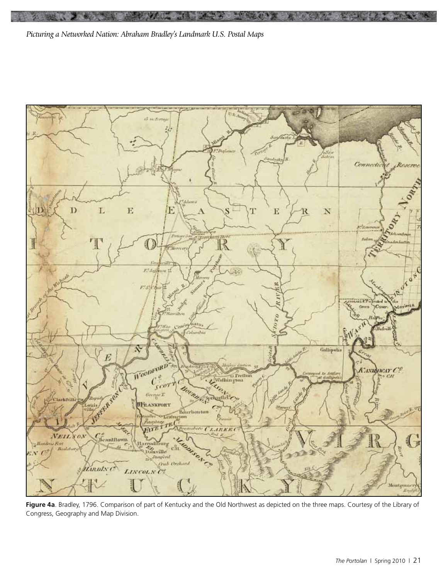

**Figure 4a**. Bradley, 1796. Comparison of part of Kentucky and the Old Northwest as depicted on the three maps. Courtesy of the Library of Congress, Geography and Map Division.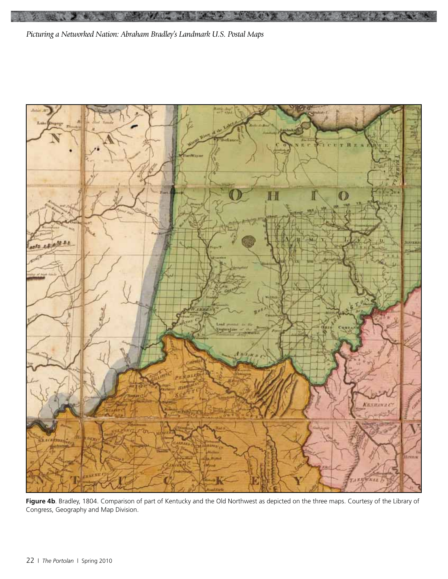

**1939** 

**Figure 4b**. Bradley, 1804. Comparison of part of Kentucky and the Old Northwest as depicted on the three maps. Courtesy of the Library of Congress, Geography and Map Division.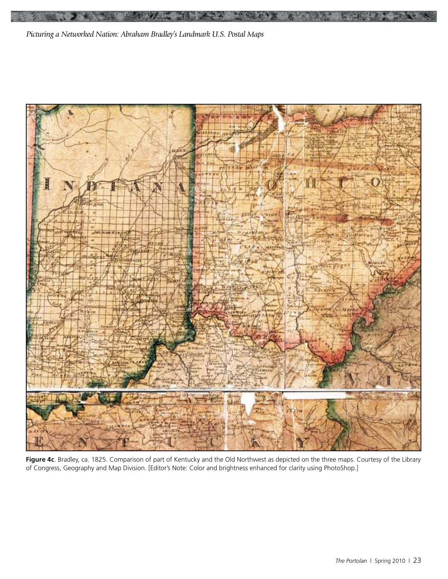

**Figure 4c**. Bradley, ca. 1825. Comparison of part of Kentucky and the Old Northwest as depicted on the three maps. Courtesy of the Library of Congress, Geography and Map Division. [Editor's Note: Color and brightness enhanced for clarity using PhotoShop.]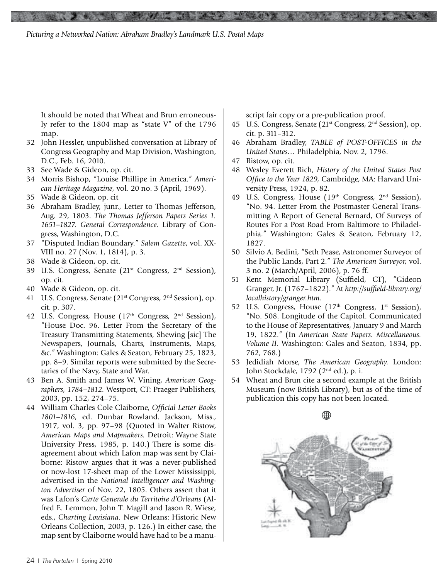It should be noted that Wheat and Brun erroneously refer to the 1804 map as "state V" of the 1796 map.

- 32 John Hessler, unpublished conversation at Library of Congress Geography and Map Division, Washington, D.C., Feb. 16, 2010.
- 33 See Wade & Gideon, op. cit.
- 34 Morris Bishop, "Louise Phillipe in America." *American Heritage Magazine,* vol. 20 no. 3 (April, 1969).
- 35 Wade & Gideon, op. cit
- 36 Abraham Bradley, junr., Letter to Thomas Jefferson, Aug. 29, 1803. *The Thomas Jefferson Papers Series 1. 1651–1827. General Correspondence.* Library of Congress, Washington, D.C.
- 37 "Disputed Indian Boundary." *Salem Gazette*, vol. XX-VIII no. 27 (Nov. 1, 1814), p. 3.
- 38 Wade & Gideon, op. cit.
- 39 U.S. Congress, Senate (21st Congress, 2nd Session), op. cit.
- 40 Wade & Gideon, op. cit.
- 41 U.S. Congress, Senate (21st Congress, 2nd Session), op. cit. p. 307.
- 42 U.S. Congress, House  $(17<sup>th</sup> Congress, 2<sup>nd</sup> Session)$ , "House Doc. 96. Letter From the Secretary of the Treasury Transmitting Statements, Shewing [sic] The Newspapers, Journals, Charts, Instruments, Maps, &c." Washington: Gales & Seaton, February 25, 1823, pp. 8–9. Similar reports were submitted by the Secretaries of the Navy, State and War.
- 43 Ben A. Smith and James W. Vining, *American Geographers, 1784–1812.* Westport, CT: Praeger Publishers, 2003, pp. 152, 274–75.
- 44 William Charles Cole Claiborne, *Official Letter Books 1801–1816,* ed. Dunbar Rowland. Jackson, Miss., 1917, vol. 3, pp. 97–98 (Quoted in Walter Ristow, *American Maps and Mapmakers.* Detroit: Wayne State University Press, 1985, p. 140.) There is some disagreement about which Lafon map was sent by Claiborne: Ristow argues that it was a never-published or now-lost 17-sheet map of the Lower Mississippi, advertised in the *National Intelligencer and Washington Advertiser* of Nov. 22, 1805. Others assert that it was Lafon's *Carte Generale du Territoire d'Orleans* (Alfred E. Lemmon, John T. Magill and Jason R. Wiese, eds., *Charting Louisiana.* New Orleans: Historic New Orleans Collection, 2003, p. 126.) In either case, the map sent by Claiborne would have had to be a manu-

script fair copy or a pre-publication proof.

- 45 U.S. Congress, Senate (21st Congress, 2nd Session), op. cit. p. 311–312.
- 46 Abraham Bradley, *TABLE of POST-OFFICES in the United States…* Philadelphia, Nov. 2, 1796.
- 47 Ristow, op. cit.
- 48 Wesley Everett Rich, *History of the United States Post Office to the Year 1829,* Cambridge, MA: Harvard University Press, 1924, p. 82.
- 49 U.S. Congress, House  $(19<sup>th</sup> Congress, 2<sup>nd</sup> Session)$ , "No. 94. Letter From the Postmaster General Transmitting A Report of General Bernard, Of Surveys of Routes For a Post Road From Baltimore to Philadelphia." Washington: Gales & Seaton, February 12, 1827.
- 50 Silvio A. Bedini, "Seth Pease, Astronomer Surveyor of the Public Lands, Part 2." *The American Surveyor,* vol. 3 no. 2 (March/April, 2006), p. 76 ff.
- 51 Kent Memorial Library (Suffield, CT), "Gideon Granger, Jr. (1767–1822)." At *http://suffield-library.org/ localhistory/granger.htm*.
- 52 U.S. Congress, House (17<sup>th</sup> Congress, 1<sup>st</sup> Session), "No. 508. Longitude of the Capitol. Communicated to the House of Representatives, January 9 and March 19, 1822." (In *American State Papers. Miscellaneous. Volume II.* Washington: Gales and Seaton, 1834, pp. 762, 768.)
- 53 Jedidiah Morse, *The American Geography.* London: John Stockdale, 1792 (2nd ed.), p. i.
- 54 Wheat and Brun cite a second example at the British Museum (now British Library), but as of the time of publication this copy has not been located.